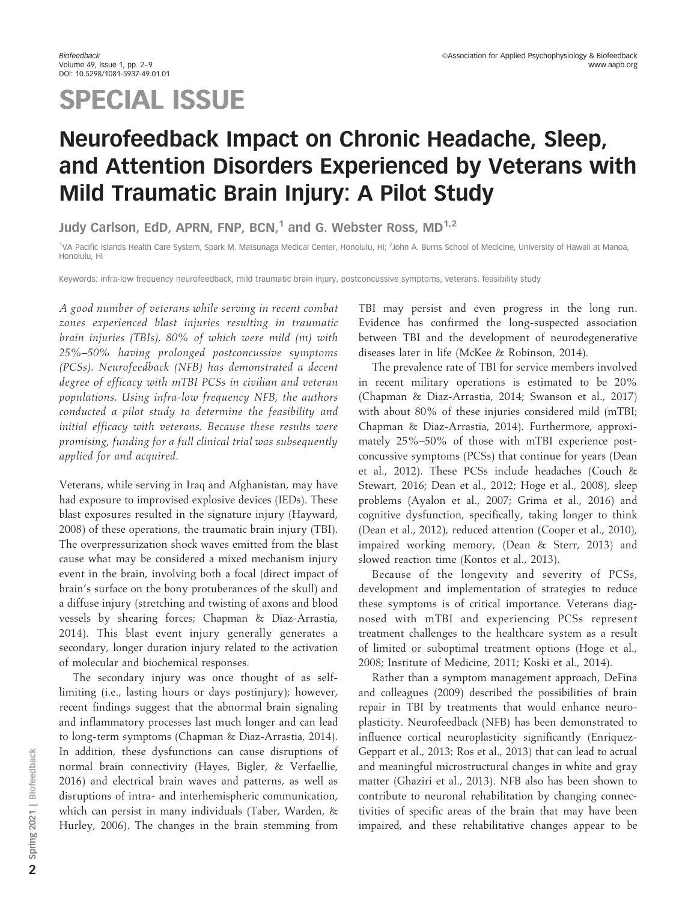# SPECIAL ISSUE

## Neurofeedback Impact on Chronic Headache, Sleep, and Attention Disorders Experienced by Veterans with Mild Traumatic Brain Injury: A Pilot Study

Judy Carlson, EdD, APRN, FNP, BCN, $1$  and G. Webster Ross, MD $^{1,2}$ 

<sup>1</sup>VA Pacific Islands Health Care System, Spark M. Matsunaga Medical Center, Honolulu, HI; <sup>2</sup>John A. Burns School of Medicine, University of Hawaii at Manoa, Honolulu, HI

Keywords: infra-low frequency neurofeedback, mild traumatic brain injury, postconcussive symptoms, veterans, feasibility study

A good number of veterans while serving in recent combat zones experienced blast injuries resulting in traumatic brain injuries (TBIs), 80% of which were mild (m) with 25%–50% having prolonged postconcussive symptoms (PCSs). Neurofeedback (NFB) has demonstrated a decent degree of efficacy with mTBI PCSs in civilian and veteran populations. Using infra-low frequency NFB, the authors conducted a pilot study to determine the feasibility and initial efficacy with veterans. Because these results were promising, funding for a full clinical trial was subsequently applied for and acquired.

Veterans, while serving in Iraq and Afghanistan, may have had exposure to improvised explosive devices (IEDs). These blast exposures resulted in the signature injury (Hayward, 2008) of these operations, the traumatic brain injury (TBI). The overpressurization shock waves emitted from the blast cause what may be considered a mixed mechanism injury event in the brain, involving both a focal (direct impact of brain's surface on the bony protuberances of the skull) and a diffuse injury (stretching and twisting of axons and blood vessels by shearing forces; Chapman & Diaz-Arrastia, 2014). This blast event injury generally generates a secondary, longer duration injury related to the activation of molecular and biochemical responses.

The secondary injury was once thought of as selflimiting (i.e., lasting hours or days postinjury); however, recent findings suggest that the abnormal brain signaling and inflammatory processes last much longer and can lead to long-term symptoms (Chapman & Diaz-Arrastia, 2014). In addition, these dysfunctions can cause disruptions of normal brain connectivity (Hayes, Bigler, & Verfaellie, 2016) and electrical brain waves and patterns, as well as disruptions of intra- and interhemispheric communication, which can persist in many individuals (Taber, Warden, & Hurley, 2006). The changes in the brain stemming from

TBI may persist and even progress in the long run. Evidence has confirmed the long-suspected association between TBI and the development of neurodegenerative diseases later in life (McKee & Robinson, 2014).

The prevalence rate of TBI for service members involved in recent military operations is estimated to be 20% (Chapman & Diaz-Arrastia, 2014; Swanson et al., 2017) with about 80% of these injuries considered mild (mTBI; Chapman & Diaz-Arrastia, 2014). Furthermore, approximately 25%–50% of those with mTBI experience postconcussive symptoms (PCSs) that continue for years (Dean et al., 2012). These PCSs include headaches (Couch & Stewart, 2016; Dean et al., 2012; Hoge et al., 2008), sleep problems (Ayalon et al., 2007; Grima et al., 2016) and cognitive dysfunction, specifically, taking longer to think (Dean et al., 2012), reduced attention (Cooper et al., 2010), impaired working memory, (Dean & Sterr, 2013) and slowed reaction time (Kontos et al., 2013).

Because of the longevity and severity of PCSs, development and implementation of strategies to reduce these symptoms is of critical importance. Veterans diagnosed with mTBI and experiencing PCSs represent treatment challenges to the healthcare system as a result of limited or suboptimal treatment options (Hoge et al., 2008; Institute of Medicine, 2011; Koski et al., 2014).

Rather than a symptom management approach, DeFina and colleagues (2009) described the possibilities of brain repair in TBI by treatments that would enhance neuroplasticity. Neurofeedback (NFB) has been demonstrated to influence cortical neuroplasticity significantly (Enriquez-Geppart et al., 2013; Ros et al., 2013) that can lead to actual and meaningful microstructural changes in white and gray matter (Ghaziri et al., 2013). NFB also has been shown to contribute to neuronal rehabilitation by changing connectivities of specific areas of the brain that may have been impaired, and these rehabilitative changes appear to be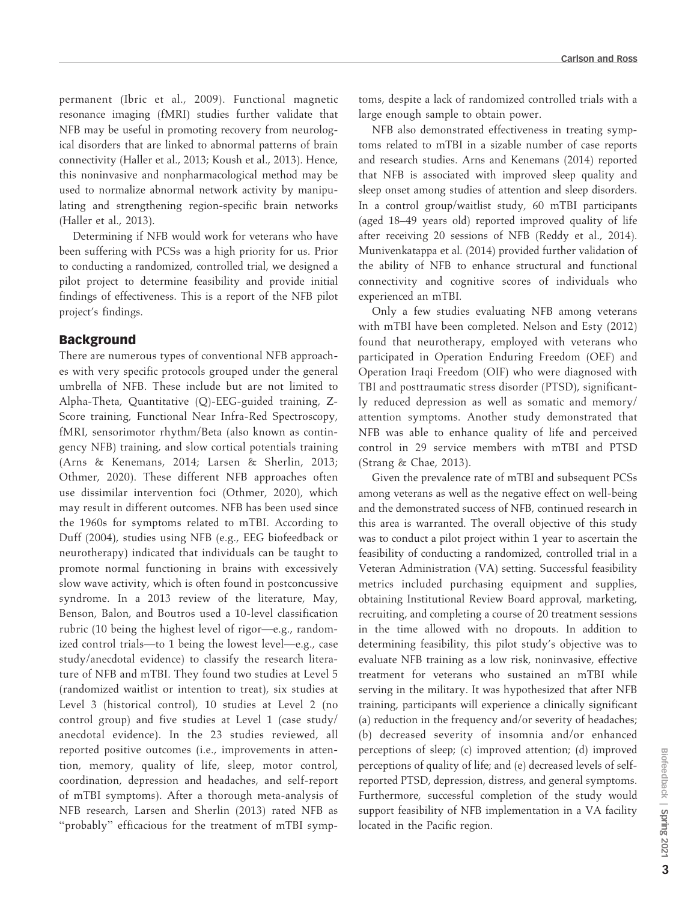permanent (Ibric et al., 2009). Functional magnetic resonance imaging (fMRI) studies further validate that NFB may be useful in promoting recovery from neurological disorders that are linked to abnormal patterns of brain connectivity (Haller et al., 2013; Koush et al., 2013). Hence, this noninvasive and nonpharmacological method may be used to normalize abnormal network activity by manipulating and strengthening region-specific brain networks (Haller et al., 2013).

Determining if NFB would work for veterans who have been suffering with PCSs was a high priority for us. Prior to conducting a randomized, controlled trial, we designed a pilot project to determine feasibility and provide initial findings of effectiveness. This is a report of the NFB pilot project's findings.

## Background

There are numerous types of conventional NFB approaches with very specific protocols grouped under the general umbrella of NFB. These include but are not limited to Alpha-Theta, Quantitative (Q)-EEG-guided training, Z-Score training, Functional Near Infra-Red Spectroscopy, fMRI, sensorimotor rhythm/Beta (also known as contingency NFB) training, and slow cortical potentials training (Arns & Kenemans, 2014; Larsen & Sherlin, 2013; Othmer, 2020). These different NFB approaches often use dissimilar intervention foci (Othmer, 2020), which may result in different outcomes. NFB has been used since the 1960s for symptoms related to mTBI. According to Duff (2004), studies using NFB (e.g., EEG biofeedback or neurotherapy) indicated that individuals can be taught to promote normal functioning in brains with excessively slow wave activity, which is often found in postconcussive syndrome. In a 2013 review of the literature, May, Benson, Balon, and Boutros used a 10-level classification rubric (10 being the highest level of rigor—e.g., randomized control trials—to 1 being the lowest level—e.g., case study/anecdotal evidence) to classify the research literature of NFB and mTBI. They found two studies at Level 5 (randomized waitlist or intention to treat), six studies at Level 3 (historical control), 10 studies at Level 2 (no control group) and five studies at Level 1 (case study/ anecdotal evidence). In the 23 studies reviewed, all reported positive outcomes (i.e., improvements in attention, memory, quality of life, sleep, motor control, coordination, depression and headaches, and self-report of mTBI symptoms). After a thorough meta-analysis of NFB research, Larsen and Sherlin (2013) rated NFB as "probably" efficacious for the treatment of mTBI symptoms, despite a lack of randomized controlled trials with a large enough sample to obtain power.

NFB also demonstrated effectiveness in treating symptoms related to mTBI in a sizable number of case reports and research studies. Arns and Kenemans (2014) reported that NFB is associated with improved sleep quality and sleep onset among studies of attention and sleep disorders. In a control group/waitlist study, 60 mTBI participants (aged 18–49 years old) reported improved quality of life after receiving 20 sessions of NFB (Reddy et al., 2014). Munivenkatappa et al. (2014) provided further validation of the ability of NFB to enhance structural and functional connectivity and cognitive scores of individuals who experienced an mTBI.

Only a few studies evaluating NFB among veterans with mTBI have been completed. Nelson and Esty (2012) found that neurotherapy, employed with veterans who participated in Operation Enduring Freedom (OEF) and Operation Iraqi Freedom (OIF) who were diagnosed with TBI and posttraumatic stress disorder (PTSD), significantly reduced depression as well as somatic and memory/ attention symptoms. Another study demonstrated that NFB was able to enhance quality of life and perceived control in 29 service members with mTBI and PTSD (Strang & Chae, 2013).

Given the prevalence rate of mTBI and subsequent PCSs among veterans as well as the negative effect on well-being and the demonstrated success of NFB, continued research in this area is warranted. The overall objective of this study was to conduct a pilot project within 1 year to ascertain the feasibility of conducting a randomized, controlled trial in a Veteran Administration (VA) setting. Successful feasibility metrics included purchasing equipment and supplies, obtaining Institutional Review Board approval, marketing, recruiting, and completing a course of 20 treatment sessions in the time allowed with no dropouts. In addition to determining feasibility, this pilot study's objective was to evaluate NFB training as a low risk, noninvasive, effective treatment for veterans who sustained an mTBI while serving in the military. It was hypothesized that after NFB training, participants will experience a clinically significant (a) reduction in the frequency and/or severity of headaches; (b) decreased severity of insomnia and/or enhanced perceptions of sleep; (c) improved attention; (d) improved perceptions of quality of life; and (e) decreased levels of selfreported PTSD, depression, distress, and general symptoms. Furthermore, successful completion of the study would support feasibility of NFB implementation in a VA facility located in the Pacific region.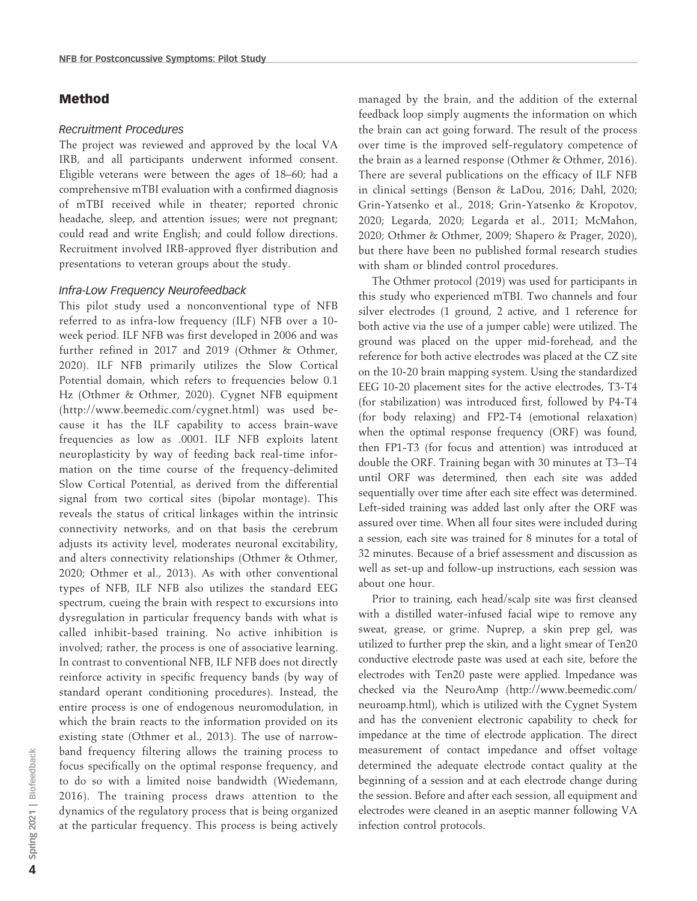## Method

#### Recruitment Procedures

The project was reviewed and approved by the local VA IRB, and all participants underwent informed consent. Eligible veterans were between the ages of 18–60; had a comprehensive mTBI evaluation with a confirmed diagnosis of mTBI received while in theater; reported chronic headache, sleep, and attention issues; were not pregnant; could read and write English; and could follow directions. Recruitment involved IRB-approved flyer distribution and presentations to veteran groups about the study.

#### Infra-Low Frequency Neurofeedback

This pilot study used a nonconventional type of NFB referred to as infra-low frequency (ILF) NFB over a 10 week period. ILF NFB was first developed in 2006 and was further refined in 2017 and 2019 (Othmer & Othmer, 2020). ILF NFB primarily utilizes the Slow Cortical Potential domain, which refers to frequencies below 0.1 Hz (Othmer & Othmer, 2020). Cygnet NFB equipment (http://www.beemedic.com/cygnet.html) was used because it has the ILF capability to access brain-wave frequencies as low as .0001. ILF NFB exploits latent neuroplasticity by way of feeding back real-time information on the time course of the frequency-delimited Slow Cortical Potential, as derived from the differential signal from two cortical sites (bipolar montage). This reveals the status of critical linkages within the intrinsic connectivity networks, and on that basis the cerebrum adjusts its activity level, moderates neuronal excitability, and alters connectivity relationships (Othmer & Othmer, 2020; Othmer et al., 2013). As with other conventional types of NFB, ILF NFB also utilizes the standard EEG spectrum, cueing the brain with respect to excursions into dysregulation in particular frequency bands with what is called inhibit-based training. No active inhibition is involved; rather, the process is one of associative learning. In contrast to conventional NFB, ILF NFB does not directly reinforce activity in specific frequency bands (by way of standard operant conditioning procedures). Instead, the entire process is one of endogenous neuromodulation, in which the brain reacts to the information provided on its existing state (Othmer et al., 2013). The use of narrowband frequency filtering allows the training process to focus specifically on the optimal response frequency, and to do so with a limited noise bandwidth (Wiedemann, 2016). The training process draws attention to the dynamics of the regulatory process that is being organized at the particular frequency. This process is being actively

managed by the brain, and the addition of the external feedback loop simply augments the information on which the brain can act going forward. The result of the process over time is the improved self-regulatory competence of the brain as a learned response (Othmer & Othmer, 2016). There are several publications on the efficacy of ILF NFB in clinical settings (Benson & LaDou, 2016; Dahl, 2020; Grin-Yatsenko et al., 2018; Grin-Yatsenko & Kropotov, 2020; Legarda, 2020; Legarda et al., 2011; McMahon, 2020; Othmer & Othmer, 2009; Shapero & Prager, 2020), but there have been no published formal research studies with sham or blinded control procedures.

The Othmer protocol (2019) was used for participants in this study who experienced mTBI. Two channels and four silver electrodes (1 ground, 2 active, and 1 reference for both active via the use of a jumper cable) were utilized. The ground was placed on the upper mid-forehead, and the reference for both active electrodes was placed at the CZ site on the 10-20 brain mapping system. Using the standardized EEG 10-20 placement sites for the active electrodes, T3-T4 (for stabilization) was introduced first, followed by P4-T4 (for body relaxing) and FP2-T4 (emotional relaxation) when the optimal response frequency (ORF) was found, then FP1-T3 (for focus and attention) was introduced at double the ORF. Training began with 30 minutes at T3-T4 until ORF was determined, then each site was added sequentially over time after each site effect was determined. Left-sided training was added last only after the ORF was assured over time. When all four sites were included during a session, each site was trained for 8 minutes for a total of 32 minutes. Because of a brief assessment and discussion as well as set-up and follow-up instructions, each session was about one hour.

Prior to training, each head/scalp site was first cleansed with a distilled water-infused facial wipe to remove any sweat, grease, or grime. Nuprep, a skin prep gel, was utilized to further prep the skin, and a light smear of Ten20 conductive electrode paste was used at each site, before the electrodes with Ten20 paste were applied. Impedance was checked via the NeuroAmp (http://www.beemedic.com/ neuroamp.html), which is utilized with the Cygnet System and has the convenient electronic capability to check for impedance at the time of electrode application. The direct measurement of contact impedance and offset voltage determined the adequate electrode contact quality at the beginning of a session and at each electrode change during the session. Before and after each session, all equipment and electrodes were cleaned in an aseptic manner following VA infection control protocols.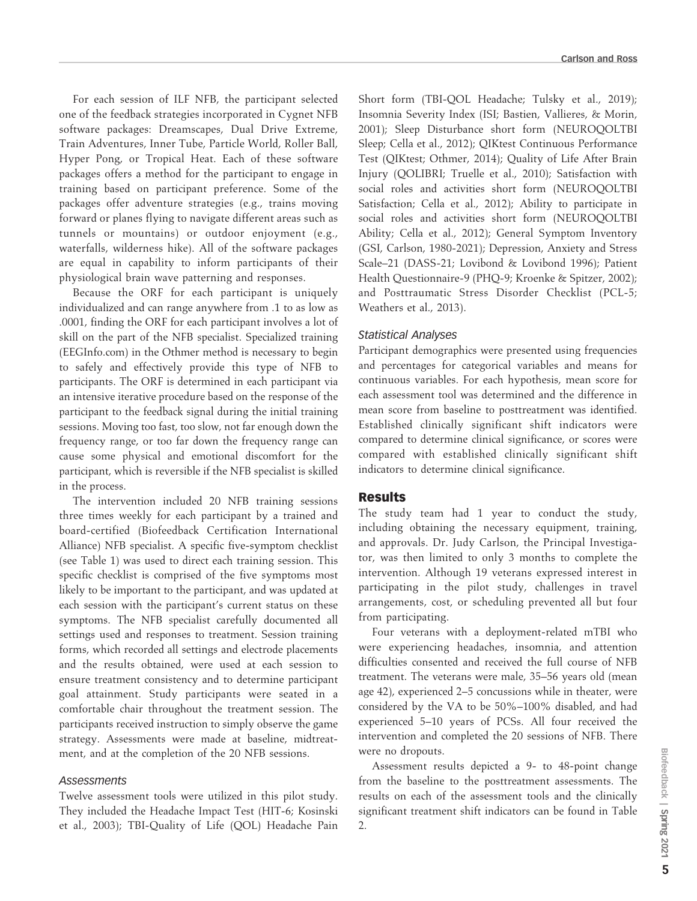For each session of ILF NFB, the participant selected one of the feedback strategies incorporated in Cygnet NFB software packages: Dreamscapes, Dual Drive Extreme, Train Adventures, Inner Tube, Particle World, Roller Ball, Hyper Pong, or Tropical Heat. Each of these software packages offers a method for the participant to engage in training based on participant preference. Some of the packages offer adventure strategies (e.g., trains moving forward or planes flying to navigate different areas such as tunnels or mountains) or outdoor enjoyment (e.g., waterfalls, wilderness hike). All of the software packages are equal in capability to inform participants of their physiological brain wave patterning and responses.

Because the ORF for each participant is uniquely individualized and can range anywhere from .1 to as low as .0001, finding the ORF for each participant involves a lot of skill on the part of the NFB specialist. Specialized training (EEGInfo.com) in the Othmer method is necessary to begin to safely and effectively provide this type of NFB to participants. The ORF is determined in each participant via an intensive iterative procedure based on the response of the participant to the feedback signal during the initial training sessions. Moving too fast, too slow, not far enough down the frequency range, or too far down the frequency range can cause some physical and emotional discomfort for the participant, which is reversible if the NFB specialist is skilled in the process.

The intervention included 20 NFB training sessions three times weekly for each participant by a trained and board-certified (Biofeedback Certification International Alliance) NFB specialist. A specific five-symptom checklist (see Table 1) was used to direct each training session. This specific checklist is comprised of the five symptoms most likely to be important to the participant, and was updated at each session with the participant's current status on these symptoms. The NFB specialist carefully documented all settings used and responses to treatment. Session training forms, which recorded all settings and electrode placements and the results obtained, were used at each session to ensure treatment consistency and to determine participant goal attainment. Study participants were seated in a comfortable chair throughout the treatment session. The participants received instruction to simply observe the game strategy. Assessments were made at baseline, midtreatment, and at the completion of the 20 NFB sessions.

#### **Assessments**

Twelve assessment tools were utilized in this pilot study. They included the Headache Impact Test (HIT-6; Kosinski et al., 2003); TBI-Quality of Life (QOL) Headache Pain Short form (TBI-QOL Headache; Tulsky et al., 2019); Insomnia Severity Index (ISI; Bastien, Vallieres, & Morin, 2001); Sleep Disturbance short form (NEUROQOLTBI Sleep; Cella et al., 2012); QIKtest Continuous Performance Test (QIKtest; Othmer, 2014); Quality of Life After Brain Injury (QOLIBRI; Truelle et al., 2010); Satisfaction with social roles and activities short form (NEUROQOLTBI Satisfaction; Cella et al., 2012); Ability to participate in social roles and activities short form (NEUROQOLTBI Ability; Cella et al., 2012); General Symptom Inventory (GSI, Carlson, 1980-2021); Depression, Anxiety and Stress Scale–21 (DASS-21; Lovibond & Lovibond 1996); Patient Health Questionnaire-9 (PHQ-9; Kroenke & Spitzer, 2002); and Posttraumatic Stress Disorder Checklist (PCL-5; Weathers et al., 2013).

### Statistical Analyses

Participant demographics were presented using frequencies and percentages for categorical variables and means for continuous variables. For each hypothesis, mean score for each assessment tool was determined and the difference in mean score from baseline to posttreatment was identified. Established clinically significant shift indicators were compared to determine clinical significance, or scores were compared with established clinically significant shift indicators to determine clinical significance.

## Results

The study team had 1 year to conduct the study, including obtaining the necessary equipment, training, and approvals. Dr. Judy Carlson, the Principal Investigator, was then limited to only 3 months to complete the intervention. Although 19 veterans expressed interest in participating in the pilot study, challenges in travel arrangements, cost, or scheduling prevented all but four from participating.

Four veterans with a deployment-related mTBI who were experiencing headaches, insomnia, and attention difficulties consented and received the full course of NFB treatment. The veterans were male, 35–56 years old (mean age 42), experienced 2–5 concussions while in theater, were considered by the VA to be 50%–100% disabled, and had experienced 5–10 years of PCSs. All four received the intervention and completed the 20 sessions of NFB. There were no dropouts.

Assessment results depicted a 9- to 48-point change from the baseline to the posttreatment assessments. The results on each of the assessment tools and the clinically significant treatment shift indicators can be found in Table 2.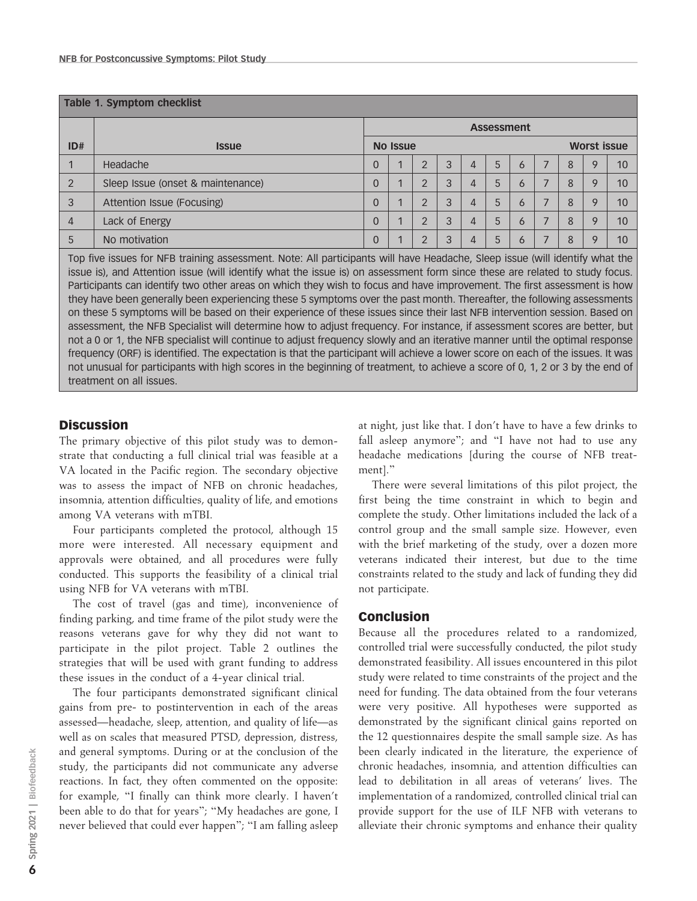| Table 1. Symptom checklist |                                   |                   |                |                |   |   |   |              |                    |   |   |    |
|----------------------------|-----------------------------------|-------------------|----------------|----------------|---|---|---|--------------|--------------------|---|---|----|
|                            |                                   | <b>Assessment</b> |                |                |   |   |   |              |                    |   |   |    |
| ID#                        | <b>Issue</b>                      | <b>No Issue</b>   |                |                |   |   |   |              | <b>Worst issue</b> |   |   |    |
|                            | Headache                          | 0                 | $\overline{1}$ | $\mathfrak{D}$ | 3 | 4 | 5 | 6            |                    | 8 | Q | 10 |
| $\overline{2}$             | Sleep Issue (onset & maintenance) | 0                 | $\mathbf{A}$   | ⌒              | 3 | 4 | 5 | 6            |                    | 8 | Q | 10 |
| 3                          | Attention Issue (Focusing)        | 0                 | $\overline{ }$ | $\Omega$       | 3 | 4 | 5 | 6            |                    | 8 | o | 10 |
| 4                          | Lack of Energy                    | 0                 | $\overline{1}$ | $\overline{2}$ | 3 | 4 | 5 | 6            | -                  | 8 |   | 10 |
| 5                          | No motivation                     | $\Omega$          | $\overline{ }$ |                | 3 | 4 |   | <sub>6</sub> |                    | 8 | o | 10 |

Top five issues for NFB training assessment. Note: All participants will have Headache, Sleep issue (will identify what the issue is), and Attention issue (will identify what the issue is) on assessment form since these are related to study focus. Participants can identify two other areas on which they wish to focus and have improvement. The first assessment is how they have been generally been experiencing these 5 symptoms over the past month. Thereafter, the following assessments on these 5 symptoms will be based on their experience of these issues since their last NFB intervention session. Based on assessment, the NFB Specialist will determine how to adjust frequency. For instance, if assessment scores are better, but not a 0 or 1, the NFB specialist will continue to adjust frequency slowly and an iterative manner until the optimal response frequency (ORF) is identified. The expectation is that the participant will achieve a lower score on each of the issues. It was not unusual for participants with high scores in the beginning of treatment, to achieve a score of 0, 1, 2 or 3 by the end of treatment on all issues.

## **Discussion**

The primary objective of this pilot study was to demonstrate that conducting a full clinical trial was feasible at a VA located in the Pacific region. The secondary objective was to assess the impact of NFB on chronic headaches, insomnia, attention difficulties, quality of life, and emotions among VA veterans with mTBI.

Four participants completed the protocol, although 15 more were interested. All necessary equipment and approvals were obtained, and all procedures were fully conducted. This supports the feasibility of a clinical trial using NFB for VA veterans with mTBI.

The cost of travel (gas and time), inconvenience of finding parking, and time frame of the pilot study were the reasons veterans gave for why they did not want to participate in the pilot project. Table 2 outlines the strategies that will be used with grant funding to address these issues in the conduct of a 4-year clinical trial.

The four participants demonstrated significant clinical gains from pre- to postintervention in each of the areas assessed—headache, sleep, attention, and quality of life—as well as on scales that measured PTSD, depression, distress, and general symptoms. During or at the conclusion of the study, the participants did not communicate any adverse reactions. In fact, they often commented on the opposite: for example, ''I finally can think more clearly. I haven't been able to do that for years''; ''My headaches are gone, I never believed that could ever happen''; ''I am falling asleep

at night, just like that. I don't have to have a few drinks to fall asleep anymore"; and "I have not had to use any headache medications [during the course of NFB treatment].''

There were several limitations of this pilot project, the first being the time constraint in which to begin and complete the study. Other limitations included the lack of a control group and the small sample size. However, even with the brief marketing of the study, over a dozen more veterans indicated their interest, but due to the time constraints related to the study and lack of funding they did not participate.

## Conclusion

Because all the procedures related to a randomized, controlled trial were successfully conducted, the pilot study demonstrated feasibility. All issues encountered in this pilot study were related to time constraints of the project and the need for funding. The data obtained from the four veterans were very positive. All hypotheses were supported as demonstrated by the significant clinical gains reported on the 12 questionnaires despite the small sample size. As has been clearly indicated in the literature, the experience of chronic headaches, insomnia, and attention difficulties can lead to debilitation in all areas of veterans' lives. The implementation of a randomized, controlled clinical trial can provide support for the use of ILF NFB with veterans to alleviate their chronic symptoms and enhance their quality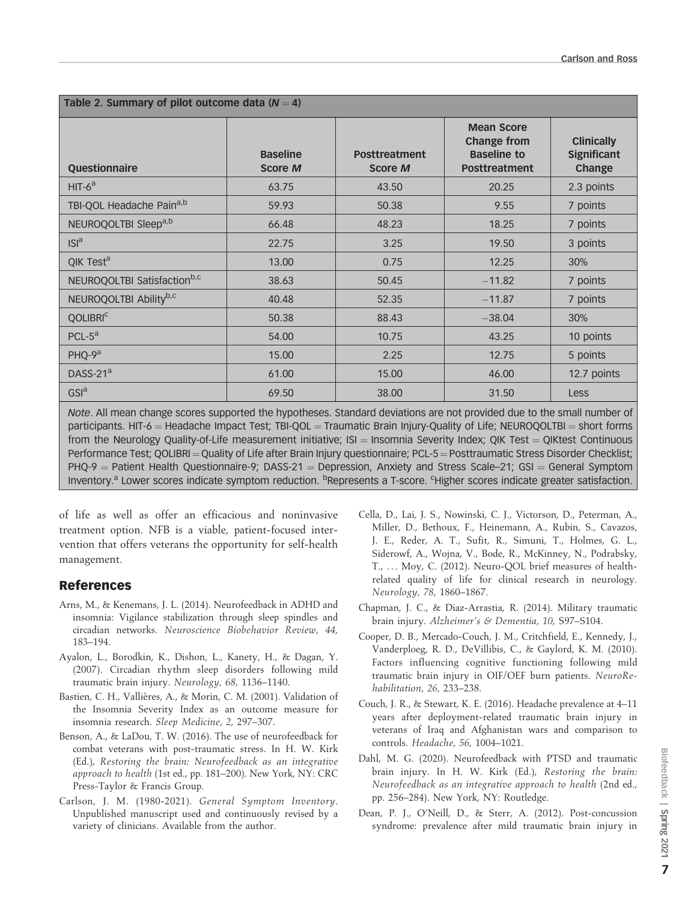| Table 2. Summary of pilot outcome data ( $N = 4$ ) |                                   |                                        |                                                                                       |                                                   |  |  |  |  |  |
|----------------------------------------------------|-----------------------------------|----------------------------------------|---------------------------------------------------------------------------------------|---------------------------------------------------|--|--|--|--|--|
| <b>Questionnaire</b>                               | <b>Baseline</b><br><b>Score M</b> | <b>Posttreatment</b><br><b>Score M</b> | <b>Mean Score</b><br><b>Change from</b><br><b>Baseline to</b><br><b>Posttreatment</b> | <b>Clinically</b><br><b>Significant</b><br>Change |  |  |  |  |  |
| $HIT-6a$                                           | 63.75                             | 43.50                                  | 20.25                                                                                 | 2.3 points                                        |  |  |  |  |  |
| TBI-QOL Headache Paina,b                           | 59.93                             | 50.38                                  | 9.55                                                                                  | 7 points                                          |  |  |  |  |  |
| NEUROQOLTBI Sleep <sup>a,b</sup>                   | 66.48                             | 48.23                                  | 18.25                                                                                 | 7 points                                          |  |  |  |  |  |
| ISI <sup>a</sup>                                   | 22.75                             | 3.25                                   | 19.50                                                                                 | 3 points                                          |  |  |  |  |  |
| QIK Test <sup>a</sup>                              | 13.00                             | 0.75                                   | 12.25                                                                                 | 30%                                               |  |  |  |  |  |
| NEUROQOLTBI Satisfaction <sup>b,c</sup>            | 38.63                             | 50.45                                  | $-11.82$                                                                              | 7 points                                          |  |  |  |  |  |
| NEUROQOLTBI Abilityb,c                             | 40.48                             | 52.35                                  | $-11.87$                                                                              | 7 points                                          |  |  |  |  |  |
| <b>QOLIBRIC</b>                                    | 50.38                             | 88.43                                  | $-38.04$                                                                              | 30%                                               |  |  |  |  |  |
| $PCL-5a$                                           | 54.00                             | 10.75                                  | 43.25                                                                                 | 10 points                                         |  |  |  |  |  |
| PHQ-9 <sup>a</sup>                                 | 15.00                             | 2.25                                   | 12.75                                                                                 | 5 points                                          |  |  |  |  |  |
| DASS-21 $a$                                        | 61.00                             | 15.00                                  | 46.00                                                                                 | 12.7 points                                       |  |  |  |  |  |
| GSI <sup>a</sup>                                   | 69.50                             | 38.00                                  | 31.50                                                                                 | <b>Less</b>                                       |  |  |  |  |  |

Note. All mean change scores supported the hypotheses. Standard deviations are not provided due to the small number of participants. HIT-6 = Headache Impact Test; TBI-QOL = Traumatic Brain Injury-Quality of Life; NEUROQOLTBI = short forms from the Neurology Quality-of-Life measurement initiative;  $|S|$  = Insomnia Severity Index; QIK Test = QIKtest Continuous Performance Test; QOLIBRI = Quality of Life after Brain Injury questionnaire; PCL-5 = Posttraumatic Stress Disorder Checklist;  $PHQ-9$  = Patient Health Questionnaire-9; DASS-21 = Depression, Anxiety and Stress Scale–21; GSI = General Symptom Inventory.<sup>a</sup> Lower scores indicate symptom reduction. <sup>b</sup>Represents a T-score. <sup>c</sup>Higher scores indicate greater satisfaction.

of life as well as offer an efficacious and noninvasive treatment option. NFB is a viable, patient-focused intervention that offers veterans the opportunity for self-health management.

## References

- Arns, M., & Kenemans, J. L. (2014). Neurofeedback in ADHD and insomnia: Vigilance stabilization through sleep spindles and circadian networks. Neuroscience Biobehavior Review, 44, 183–194.
- Ayalon, L., Borodkin, K., Dishon, L., Kanety, H., & Dagan, Y. (2007). Circadian rhythm sleep disorders following mild traumatic brain injury. Neurology, 68, 1136–1140.
- Bastien, C. H., Vallières, A., & Morin, C. M. (2001). Validation of the Insomnia Severity Index as an outcome measure for insomnia research. Sleep Medicine, 2, 297–307.
- Benson, A., & LaDou, T. W. (2016). The use of neurofeedback for combat veterans with post-traumatic stress. In H. W. Kirk (Ed.), Restoring the brain: Neurofeedback as an integrative approach to health (1st ed., pp. 181–200). New York, NY: CRC Press-Taylor & Francis Group.
- Carlson, J. M. (1980-2021). General Symptom Inventory. Unpublished manuscript used and continuously revised by a variety of clinicians. Available from the author.
- Cella, D., Lai, J. S., Nowinski, C. J., Victorson, D., Peterman, A., Miller, D., Bethoux, F., Heinemann, A., Rubin, S., Cavazos, J. E., Reder, A. T., Sufit, R., Simuni, T., Holmes, G. L., Siderowf, A., Wojna, V., Bode, R., McKinney, N., Podrabsky, T., ... Moy, C. (2012). Neuro-QOL brief measures of healthrelated quality of life for clinical research in neurology. Neurology, 78, 1860–1867.
- Chapman, J. C., & Diaz-Arrastia, R. (2014). Military traumatic brain injury. Alzheimer's & Dementia, 10, S97–S104.
- Cooper, D. B., Mercado-Couch, J. M., Critchfield, E., Kennedy, J., Vanderploeg, R. D., DeVillibis, C., & Gaylord, K. M. (2010). Factors influencing cognitive functioning following mild traumatic brain injury in OIF/OEF burn patients. NeuroRehabilitation, 26, 233–238.
- Couch, J. R., & Stewart, K. E. (2016). Headache prevalence at 4–11 years after deployment-related traumatic brain injury in veterans of Iraq and Afghanistan wars and comparison to controls. Headache, 56, 1004–1021.
- Dahl, M. G. (2020). Neurofeedback with PTSD and traumatic brain injury. In H. W. Kirk (Ed.), Restoring the brain: Neurofeedback as an integrative approach to health (2nd ed., pp. 256–284). New York, NY: Routledge.
- Dean, P. J., O'Neill, D., & Sterr, A. (2012). Post-concussion syndrome: prevalence after mild traumatic brain injury in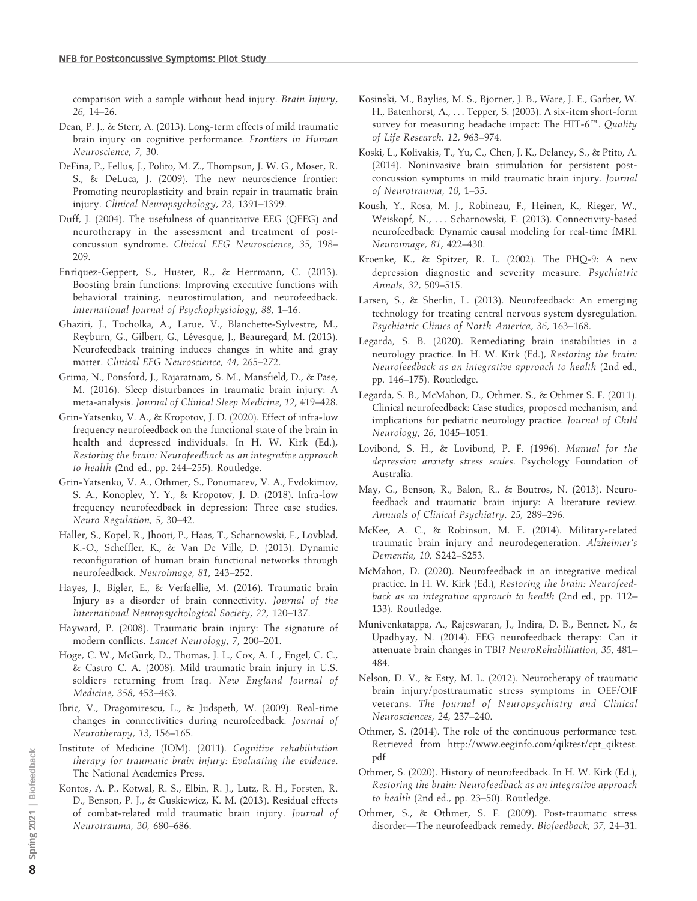comparison with a sample without head injury. Brain Injury, 26, 14–26.

- Dean, P. J., & Sterr, A. (2013). Long-term effects of mild traumatic brain injury on cognitive performance. Frontiers in Human Neuroscience, 7, 30.
- DeFina, P., Fellus, J., Polito, M. Z., Thompson, J. W. G., Moser, R. S., & DeLuca, J. (2009). The new neuroscience frontier: Promoting neuroplasticity and brain repair in traumatic brain injury. Clinical Neuropsychology, 23, 1391–1399.
- Duff, J. (2004). The usefulness of quantitative EEG (QEEG) and neurotherapy in the assessment and treatment of postconcussion syndrome. Clinical EEG Neuroscience, 35, 198– 209.
- Enriquez-Geppert, S., Huster, R., & Herrmann, C. (2013). Boosting brain functions: Improving executive functions with behavioral training, neurostimulation, and neurofeedback. International Journal of Psychophysiology, 88, 1–16.
- Ghaziri, J., Tucholka, A., Larue, V., Blanchette-Sylvestre, M., Reyburn, G., Gilbert, G., Lévesque, J., Beauregard, M. (2013). Neurofeedback training induces changes in white and gray matter. Clinical EEG Neuroscience, 44, 265–272.
- Grima, N., Ponsford, J., Rajaratnam, S. M., Mansfield, D., & Pase, M. (2016). Sleep disturbances in traumatic brain injury: A meta-analysis. Journal of Clinical Sleep Medicine, 12, 419–428.
- Grin-Yatsenko, V. A., & Kropotov, J. D. (2020). Effect of infra-low frequency neurofeedback on the functional state of the brain in health and depressed individuals. In H. W. Kirk (Ed.), Restoring the brain: Neurofeedback as an integrative approach to health (2nd ed., pp. 244–255). Routledge.
- Grin-Yatsenko, V. A., Othmer, S., Ponomarev, V. A., Evdokimov, S. A., Konoplev, Y. Y., & Kropotov, J. D. (2018). Infra-low frequency neurofeedback in depression: Three case studies. Neuro Regulation, 5, 30–42.
- Haller, S., Kopel, R., Jhooti, P., Haas, T., Scharnowski, F., Lovblad, K.-O., Scheffler, K., & Van De Ville, D. (2013). Dynamic reconfiguration of human brain functional networks through neurofeedback. Neuroimage, 81, 243–252.
- Hayes, J., Bigler, E., & Verfaellie, M. (2016). Traumatic brain Injury as a disorder of brain connectivity. Journal of the International Neuropsychological Society, 22, 120–137.
- Hayward, P. (2008). Traumatic brain injury: The signature of modern conflicts. Lancet Neurology, 7, 200–201.
- Hoge, C. W., McGurk, D., Thomas, J. L., Cox, A. L., Engel, C. C., & Castro C. A. (2008). Mild traumatic brain injury in U.S. soldiers returning from Iraq. New England Journal of Medicine, 358, 453–463.
- Ibric, V., Dragomirescu, L., & Judspeth, W. (2009). Real-time changes in connectivities during neurofeedback. Journal of Neurotherapy, 13, 156–165.
- Institute of Medicine (IOM). (2011). Cognitive rehabilitation therapy for traumatic brain injury: Evaluating the evidence. The National Academies Press.
- Kontos, A. P., Kotwal, R. S., Elbin, R. J., Lutz, R. H., Forsten, R. D., Benson, P. J., & Guskiewicz, K. M. (2013). Residual effects of combat-related mild traumatic brain injury. Journal of Neurotrauma, 30, 680–686.
- Kosinski, M., Bayliss, M. S., Bjorner, J. B., Ware, J. E., Garber, W. H., Batenhorst, A., ... Tepper, S. (2003). A six-item short-form survey for measuring headache impact: The HIT-6<sup>™</sup>. Quality of Life Research, 12, 963–974.
- Koski, L., Kolivakis, T., Yu, C., Chen, J. K., Delaney, S., & Ptito, A. (2014). Noninvasive brain stimulation for persistent postconcussion symptoms in mild traumatic brain injury. Journal of Neurotrauma, 10, 1–35.
- Koush, Y., Rosa, M. J., Robineau, F., Heinen, K., Rieger, W., Weiskopf, N., ... Scharnowski, F. (2013). Connectivity-based neurofeedback: Dynamic causal modeling for real-time fMRI. Neuroimage, 81, 422–430.
- Kroenke, K., & Spitzer, R. L. (2002). The PHQ-9: A new depression diagnostic and severity measure. Psychiatric Annals, 32, 509–515.
- Larsen, S., & Sherlin, L. (2013). Neurofeedback: An emerging technology for treating central nervous system dysregulation. Psychiatric Clinics of North America, 36, 163–168.
- Legarda, S. B. (2020). Remediating brain instabilities in a neurology practice. In H. W. Kirk (Ed.), Restoring the brain: Neurofeedback as an integrative approach to health (2nd ed., pp. 146–175). Routledge.
- Legarda, S. B., McMahon, D., Othmer. S., & Othmer S. F. (2011). Clinical neurofeedback: Case studies, proposed mechanism, and implications for pediatric neurology practice. Journal of Child Neurology, 26, 1045–1051.
- Lovibond, S. H., & Lovibond, P. F. (1996). Manual for the depression anxiety stress scales. Psychology Foundation of Australia.
- May, G., Benson, R., Balon, R., & Boutros, N. (2013). Neurofeedback and traumatic brain injury: A literature review. Annuals of Clinical Psychiatry, 25, 289–296.
- McKee, A. C., & Robinson, M. E. (2014). Military-related traumatic brain injury and neurodegeneration. Alzheimer's Dementia, 10, S242–S253.
- McMahon, D. (2020). Neurofeedback in an integrative medical practice. In H. W. Kirk (Ed.), Restoring the brain: Neurofeedback as an integrative approach to health (2nd ed., pp. 112– 133). Routledge.
- Munivenkatappa, A., Rajeswaran, J., Indira, D. B., Bennet, N., & Upadhyay, N. (2014). EEG neurofeedback therapy: Can it attenuate brain changes in TBI? NeuroRehabilitation, 35, 481– 484.
- Nelson, D. V., & Esty, M. L. (2012). Neurotherapy of traumatic brain injury/posttraumatic stress symptoms in OEF/OIF veterans. The Journal of Neuropsychiatry and Clinical Neurosciences, 24, 237–240.
- Othmer, S. (2014). The role of the continuous performance test. Retrieved from http://www.eeginfo.com/qiktest/cpt\_qiktest. pdf
- Othmer, S. (2020). History of neurofeedback. In H. W. Kirk (Ed.), Restoring the brain: Neurofeedback as an integrative approach to health (2nd ed., pp. 23–50). Routledge.
- Othmer, S., & Othmer, S. F. (2009). Post-traumatic stress disorder—The neurofeedback remedy. Biofeedback, 37, 24–31.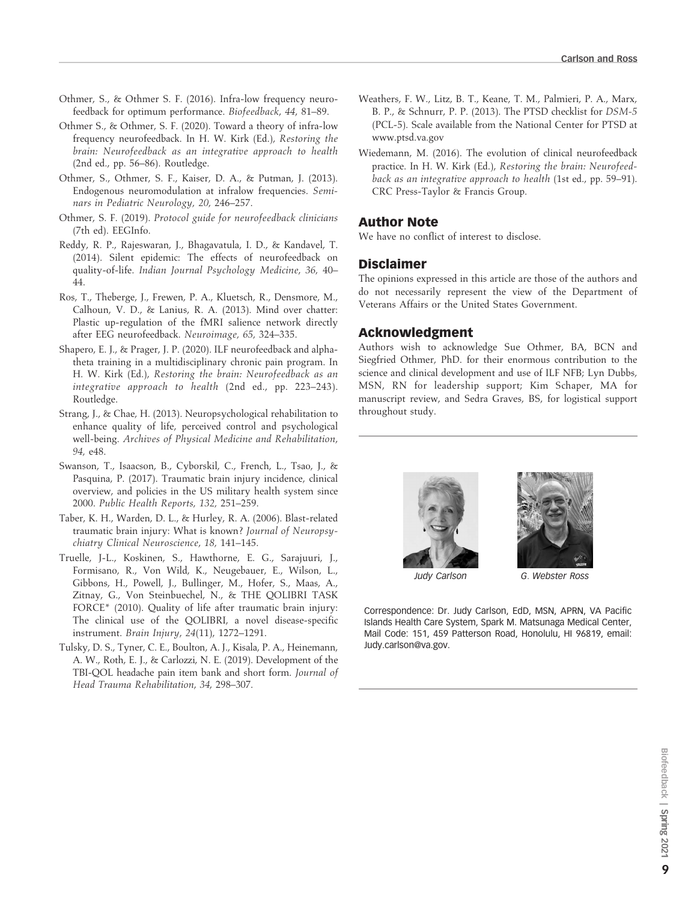- Othmer, S., & Othmer S. F. (2016). Infra-low frequency neurofeedback for optimum performance. Biofeedback, 44, 81–89.
- Othmer S., & Othmer, S. F. (2020). Toward a theory of infra-low frequency neurofeedback. In H. W. Kirk (Ed.), Restoring the brain: Neurofeedback as an integrative approach to health (2nd ed., pp. 56–86). Routledge.
- Othmer, S., Othmer, S. F., Kaiser, D. A., & Putman, J. (2013). Endogenous neuromodulation at infralow frequencies. Seminars in Pediatric Neurology, 20, 246–257.
- Othmer, S. F. (2019). Protocol guide for neurofeedback clinicians (7th ed). EEGInfo.
- Reddy, R. P., Rajeswaran, J., Bhagavatula, I. D., & Kandavel, T. (2014). Silent epidemic: The effects of neurofeedback on quality-of-life. Indian Journal Psychology Medicine, 36, 40– 44.
- Ros, T., Theberge, J., Frewen, P. A., Kluetsch, R., Densmore, M., Calhoun, V. D., & Lanius, R. A. (2013). Mind over chatter: Plastic up-regulation of the fMRI salience network directly after EEG neurofeedback. Neuroimage, 65, 324–335.
- Shapero, E. J., & Prager, J. P. (2020). ILF neurofeedback and alphatheta training in a multidisciplinary chronic pain program. In H. W. Kirk (Ed.), Restoring the brain: Neurofeedback as an integrative approach to health (2nd ed., pp. 223–243). Routledge.
- Strang, J., & Chae, H. (2013). Neuropsychological rehabilitation to enhance quality of life, perceived control and psychological well-being. Archives of Physical Medicine and Rehabilitation, 94, e48.
- Swanson, T., Isaacson, B., Cyborskil, C., French, L., Tsao, J., & Pasquina, P. (2017). Traumatic brain injury incidence, clinical overview, and policies in the US military health system since 2000. Public Health Reports, 132, 251–259.
- Taber, K. H., Warden, D. L., & Hurley, R. A. (2006). Blast-related traumatic brain injury: What is known? Journal of Neuropsychiatry Clinical Neuroscience, 18, 141–145.
- Truelle, J-L., Koskinen, S., Hawthorne, E. G., Sarajuuri, J., Formisano, R., Von Wild, K., Neugebauer, E., Wilson, L., Gibbons, H., Powell, J., Bullinger, M., Hofer, S., Maas, A., Zitnay, G., Von Steinbuechel, N., & THE QOLIBRI TASK FORCE\* (2010). Quality of life after traumatic brain injury: The clinical use of the QOLIBRI, a novel disease-specific instrument. Brain Injury, 24(11), 1272–1291.
- Tulsky, D. S., Tyner, C. E., Boulton, A. J., Kisala, P. A., Heinemann, A. W., Roth, E. J., & Carlozzi, N. E. (2019). Development of the TBI-QOL headache pain item bank and short form. Journal of Head Trauma Rehabilitation, 34, 298–307.
- Weathers, F. W., Litz, B. T., Keane, T. M., Palmieri, P. A., Marx, B. P., & Schnurr, P. P. (2013). The PTSD checklist for DSM-5 (PCL-5). Scale available from the National Center for PTSD at www.ptsd.va.gov
- Wiedemann, M. (2016). The evolution of clinical neurofeedback practice. In H. W. Kirk (Ed.), Restoring the brain: Neurofeedback as an integrative approach to health (1st ed., pp. 59–91). CRC Press-Taylor & Francis Group.

#### Author Note

We have no conflict of interest to disclose.

#### Disclaimer

The opinions expressed in this article are those of the authors and do not necessarily represent the view of the Department of Veterans Affairs or the United States Government.

### Acknowledgment

Authors wish to acknowledge Sue Othmer, BA, BCN and Siegfried Othmer, PhD. for their enormous contribution to the science and clinical development and use of ILF NFB; Lyn Dubbs, MSN, RN for leadership support; Kim Schaper, MA for manuscript review, and Sedra Graves, BS, for logistical support throughout study.



Correspondence: Dr. Judy Carlson, EdD, MSN, APRN, VA Pacific Islands Health Care System, Spark M. Matsunaga Medical Center, Mail Code: 151, 459 Patterson Road, Honolulu, HI 96819, email: Judy.carlson@va.gov.